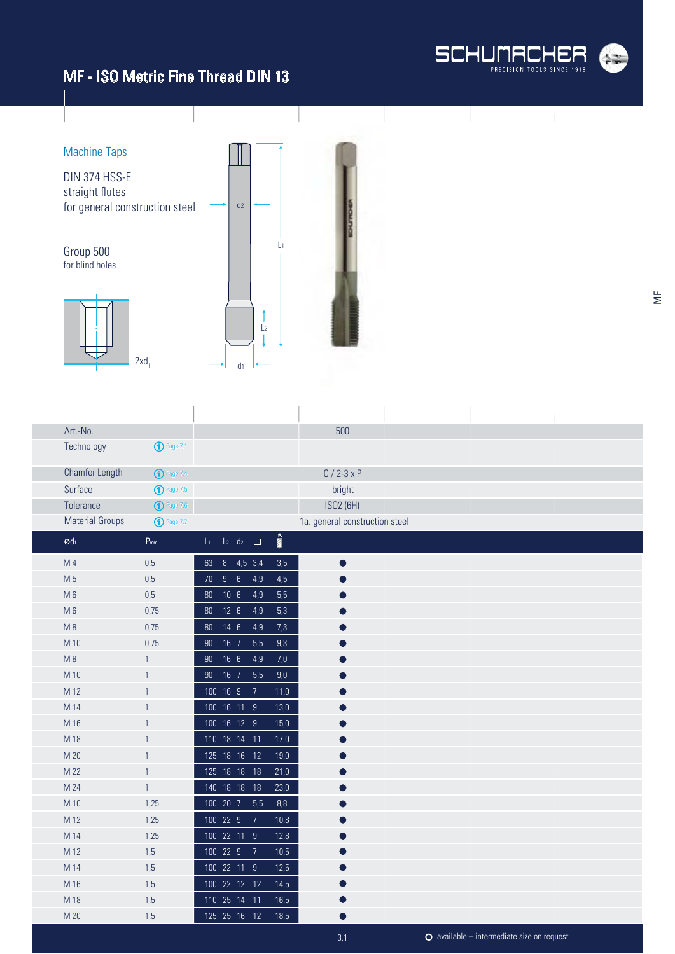



| Art.-No.               |                       |        |                 |                    |                       | 500                            |  |  |
|------------------------|-----------------------|--------|-----------------|--------------------|-----------------------|--------------------------------|--|--|
| Technology             | $\bigodot$ Page 7.1   |        |                 |                    |                       |                                |  |  |
| Chamfer Length         | <sup>1</sup> Page 7.4 |        |                 |                    |                       | $C / 2 - 3xP$                  |  |  |
| Surface                | <b>1</b> Page 7.5     |        |                 |                    |                       | bright                         |  |  |
| Tolerance              | <b>1</b> Page 7.6     |        |                 |                    |                       | ISO2 (6H)                      |  |  |
| <b>Material Groups</b> | <b>1</b> Page 7.7     |        |                 |                    |                       | 1a. general construction steel |  |  |
| $\emptyset$ dı         | $P_{mm}$              | $L_1$  |                 | $L_2$ $d_2$ $\Box$ | $\sum_{i=1}^{\infty}$ |                                |  |  |
| M 4                    | 0,5                   | 63     |                 | 8 4,5 3,4          | 3,5                   | $\bullet$                      |  |  |
| M 5                    | 0,5                   |        | 70 9 6          | 4,9                | 4,5                   |                                |  |  |
| $M_6$                  | 0,5                   | 80     | 10 <sub>6</sub> | 4,9                | 5,5                   |                                |  |  |
| $M_6$                  | 0,75                  | $80\,$ | $12 \quad 6$    | 4,9                | 5,3                   |                                |  |  |
| $M_8$                  | 0,75                  | 80     | $14 \quad 6$    | 4,9                | 7,3                   |                                |  |  |
| M 10                   | 0,75                  | $90\,$ | $16$ $7$        | 5,5                | 9,3                   |                                |  |  |
| $M_8$                  | $\mathbf{1}$          | 90     | 16 <sub>6</sub> | 4,9                | $7,0$                 | ●                              |  |  |
| M 10                   | $\mathbf{1}$          | 90     | $16$ 7          | 5,5                | 9,0                   |                                |  |  |
| M 12                   | $\mathbf{1}$          |        | 100 16 9        | $\overline{7}$     | 11,0                  |                                |  |  |
| M 14                   | $\mathbf{1}$          |        | 100 16 11 9     |                    | 13,0                  |                                |  |  |
| M 16                   | $\mathbf{1}$          |        | 100 16 12 9     |                    | 15,0                  |                                |  |  |
| M 18                   | $\mathbf{1}$          |        |                 | 110 18 14 11       | 17,0                  |                                |  |  |
| M 20                   | $\mathbf{1}$          |        |                 | 125 18 16 12       | 19,0                  |                                |  |  |
| M 22                   | $\mathbf{1}$          |        |                 | 125 18 18 18       | 21,0                  |                                |  |  |
| M 24                   | $\mathbf{1}$          |        |                 | 140 18 18 18       | 23,0                  |                                |  |  |
| M 10                   | 1,25                  |        | 100 20 7        | 5,5                | $8,8$                 |                                |  |  |
| M 12                   | 1,25                  |        | 100 22 9        | $\overline{7}$     | 10,8                  |                                |  |  |
| M 14                   | 1,25                  |        | 100 22 11 9     |                    | 12,8                  |                                |  |  |
| M 12                   | 1,5                   |        | 100 22 9        | $\overline{7}$     | 10,5                  |                                |  |  |
| M 14                   | 1,5                   |        | 100 22 11 9     |                    | 12,5                  |                                |  |  |
| M 16                   | 1,5                   |        |                 | 100 22 12 12       | 14,5                  |                                |  |  |
| M 18                   | 1,5                   |        |                 | 110 25 14 11       | 16,5                  |                                |  |  |
| M 20                   | 1,5                   |        |                 | 125  25  16  12    | 18,5                  |                                |  |  |

 $\overline{\Xi}$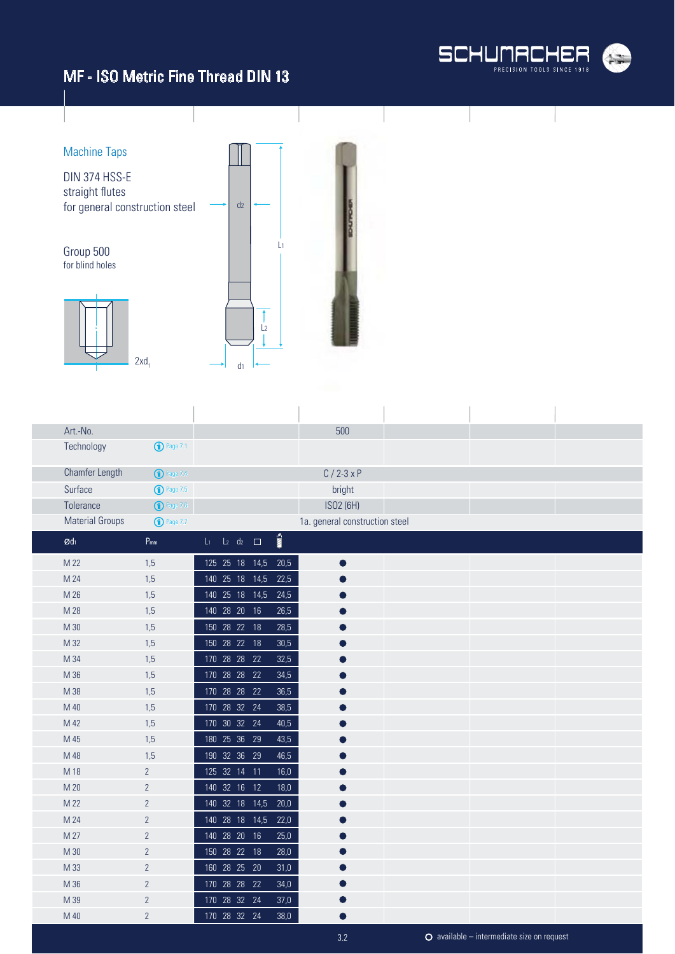



| Art.-No.               |                     |                           |  |                       | 500                            |  |  |
|------------------------|---------------------|---------------------------|--|-----------------------|--------------------------------|--|--|
| Technology             | $\bigodot$ Page 7.1 |                           |  |                       |                                |  |  |
|                        |                     |                           |  |                       |                                |  |  |
| Chamfer Length         | $\bigcirc$ Page 7.4 |                           |  |                       | $C/2-3xP$                      |  |  |
| Surface                | $\bigodot$ Page 7.5 |                           |  |                       | bright                         |  |  |
| Tolerance              | <b>1</b> Page 7.6   |                           |  |                       | ISO2 (6H)                      |  |  |
| <b>Material Groups</b> | <b>1</b> Page 7.7   |                           |  |                       | 1a. general construction steel |  |  |
| $\mathcal{O}d_1$       | $P_{mm}$            | $L_1$ $L_2$ $d_2$ $\Box$  |  | $\sum_{i=1}^{\infty}$ |                                |  |  |
| M 22                   | 1,5                 | 125 25 18 14,5            |  | 20,5                  | $\bullet$                      |  |  |
| M 24                   | 1,5                 | 140 25 18 14,5            |  | 22,5                  |                                |  |  |
| M 26                   | 1,5                 | 140 25 18 14,5            |  | 24,5                  |                                |  |  |
| M 28                   | 1,5                 | 140 28 20 16              |  | 26,5                  |                                |  |  |
| M 30                   | 1,5                 | 150 28 22 18              |  | 28,5                  |                                |  |  |
| M 32                   | 1,5                 | 150 28 22 18              |  | 30,5                  |                                |  |  |
| M 34                   | 1,5                 | 170 28 28 22              |  | 32,5                  |                                |  |  |
| M 36                   | 1,5                 | 170 28 28 22              |  | 34,5                  |                                |  |  |
| M 38                   | 1,5                 | 170 28 28 22              |  | 36,5                  |                                |  |  |
| M 40                   | 1,5                 | 170 28 32 24              |  | 38,5                  |                                |  |  |
| M 42                   | 1,5                 | 170 30 32 24              |  | 40,5                  |                                |  |  |
| M 45                   | 1,5                 | 180 25 36 29              |  | 43,5                  |                                |  |  |
| M 48                   | 1,5                 | 190 32 36 29              |  | 46,5                  | O                              |  |  |
| M 18                   | $\overline{2}$      | 125 32 14 11              |  | 16,0                  |                                |  |  |
| M 20                   | $\overline{2}$      | 140 32 16 12              |  | 18,0                  |                                |  |  |
| M 22                   | $\overline{2}$      | 140 32 18 14,5            |  | 20,0                  |                                |  |  |
| M 24                   | $\overline{2}$      | 140 28 18 14,5            |  | 22,0                  |                                |  |  |
| M 27                   | $\overline{2}$      | 140 28 20 16              |  | 25,0                  |                                |  |  |
| M 30                   | $\overline{2}$      | $\overline{150}$ 28 22 18 |  | 28,0                  |                                |  |  |
| M 33                   | $\overline{2}$      | 160 28 25 20              |  | 31,0                  |                                |  |  |
| M 36                   | $\overline{2}$      | 170 28 28 22              |  | 34,0                  |                                |  |  |
| M 39                   | $\overline{2}$      | 170 28 32 24              |  | 37,0                  |                                |  |  |
| M 40                   | $\overline{2}$      | 170 28 32 24              |  | 38,0                  |                                |  |  |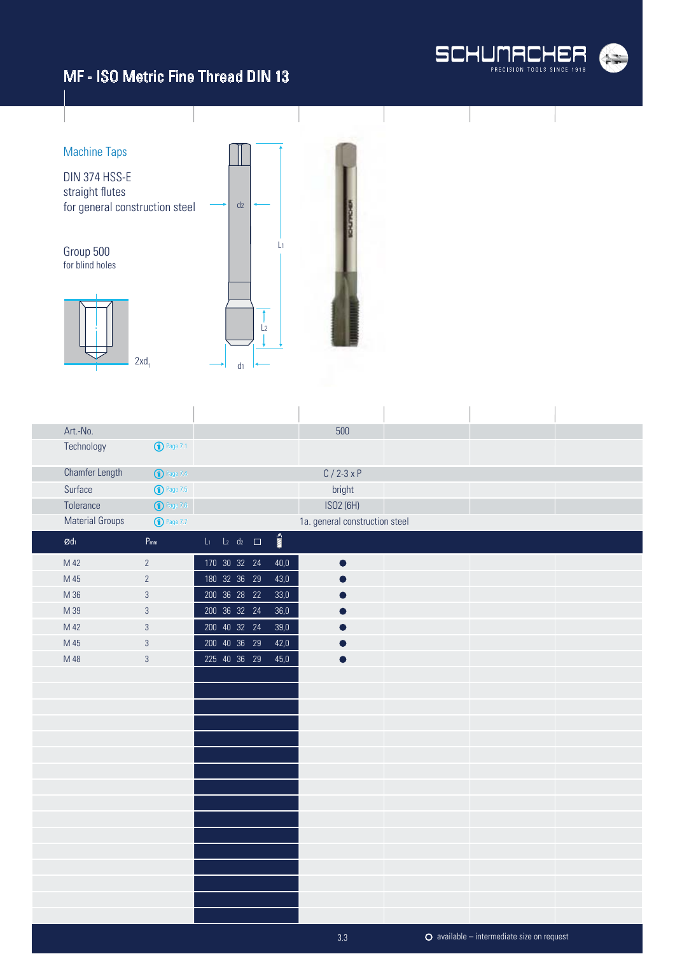



| Art.-No.               |                            |                          |                          | 500                            |  |  |
|------------------------|----------------------------|--------------------------|--------------------------|--------------------------------|--|--|
| Technology             | <b>1</b> Page 7.1          |                          |                          |                                |  |  |
| Chamfer Length         | <b>1</b> Page 7.4          |                          |                          | $C / 2 - 3xP$                  |  |  |
| Surface                | <b>1</b> Page 7.5          |                          |                          | bright                         |  |  |
| Tolerance              | $\bigodot$ Page 7.6        |                          |                          | ISO2 (6H)                      |  |  |
| <b>Material Groups</b> | <b>1</b> Page 7.7          |                          |                          | 1a. general construction steel |  |  |
| $\mathcal{O}d_1$       | $\mathsf{P}_{\mathsf{mm}}$ | $L_1$ $L_2$ $d_2$ $\Box$ | $\overline{\text{nm}}$ » |                                |  |  |
| M 42                   | $\overline{2}$             | 170 30 32 24             | 40,0                     | $\bullet$                      |  |  |
| M 45                   | $\overline{2}$             | 180 32 36 29             | 43,0                     |                                |  |  |
| M 36                   | $\sqrt{3}$                 | 200 36 28 22             | 33,0                     |                                |  |  |
| M 39                   | $\sqrt{3}$                 | 200 36 32 24             | 36,0                     |                                |  |  |
| M 42                   | $\mathfrak{S}$             | 200 40 32 24             | 39,0                     |                                |  |  |
| M 45                   | $\sqrt{3}$                 | 200 40 36 29             | 42,0                     |                                |  |  |
| M 48                   | $\mathfrak{S}$             | 225 40 36 29             | 45,0                     | $\bullet$                      |  |  |
|                        |                            |                          |                          |                                |  |  |
|                        |                            |                          |                          |                                |  |  |
|                        |                            |                          |                          |                                |  |  |
|                        |                            |                          |                          |                                |  |  |
|                        |                            |                          |                          |                                |  |  |
|                        |                            |                          |                          |                                |  |  |
|                        |                            |                          |                          |                                |  |  |
|                        |                            |                          |                          |                                |  |  |
|                        |                            |                          |                          |                                |  |  |
|                        |                            |                          |                          |                                |  |  |
|                        |                            |                          |                          |                                |  |  |
|                        |                            |                          |                          |                                |  |  |
|                        |                            |                          |                          |                                |  |  |
|                        |                            |                          |                          |                                |  |  |
|                        |                            |                          |                          |                                |  |  |
|                        |                            |                          |                          |                                |  |  |

available – intermediate size on request

3.3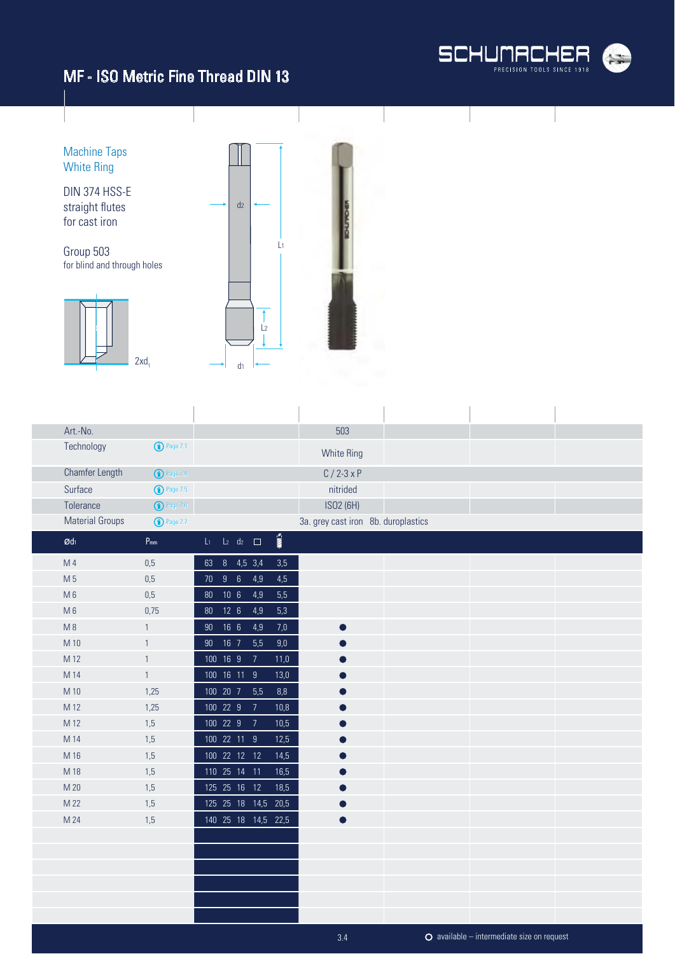

Machine Taps White Ring DIN 374 HSS-E straight flutes  $d<sub>2</sub>$ for cast iron L1 Group 503 for blind and through holes  $\uparrow$  $\frac{1}{2}$  $\downarrow$  $2xd_1$  $\mathsf{d}_1$ 

| Art.-No.               |                       |                 |                          |                     |                       | 503                                 |  |  |
|------------------------|-----------------------|-----------------|--------------------------|---------------------|-----------------------|-------------------------------------|--|--|
| Technology             | <sup>1</sup> Page 7.1 |                 |                          |                     |                       | <b>White Ring</b>                   |  |  |
| Chamfer Length         | <sup>1</sup> Page 7.4 |                 |                          |                     |                       | $C/2-3xP$                           |  |  |
| Surface                | $\bigodot$ Page 7.5   |                 |                          |                     |                       | nitrided                            |  |  |
| Tolerance              | $\bigodot$ Page 7.6   |                 |                          |                     |                       | ISO2 (6H)                           |  |  |
| <b>Material Groups</b> | <b>1</b> Page 7.7     |                 |                          |                     |                       | 3a. grey cast iron 8b. duroplastics |  |  |
| $\mathcal{O}d_1$       | $P_{mm}$              |                 | $L_1$ $L_2$ $d_2$ $\Box$ |                     | $\sum_{i=1}^{\infty}$ |                                     |  |  |
| M <sub>4</sub>         | 0,5                   |                 | 63 8 4,5 3,4             |                     | $3,5$                 |                                     |  |  |
| M 5                    | 0,5                   |                 | 70 9 6                   | 4,9                 | 4,5                   |                                     |  |  |
| M <sub>6</sub>         | 0,5                   | $80\,$          | 10 <sub>6</sub>          | 4,9                 | 5,5                   |                                     |  |  |
| $M_6$                  | 0,75                  |                 | 80 12 6                  | 4,9                 | 5,3                   |                                     |  |  |
| M8                     | $\mathbf{1}$          | $90\,$          | 16 <sub>6</sub>          | 4,9                 | $7,0$                 |                                     |  |  |
| M 10                   | $\mathbf{1}$          | 90 <sub>°</sub> | $16$ 7                   | 5,5                 | 9,0                   |                                     |  |  |
| M 12                   | $\mathbf{1}$          |                 | 100 16 9                 | $\overline{7}$      | 11,0                  |                                     |  |  |
| M 14                   | $\mathbf{1}$          |                 | 100 16 11 9              |                     | 13,0                  |                                     |  |  |
| M 10                   | 1,25                  |                 | 100 20 7                 | 5,5                 | 8,8                   |                                     |  |  |
| M 12                   | 1,25                  |                 | 100 22 9                 | $\overline{7}$      | 10,8                  |                                     |  |  |
| M 12                   | 1,5                   |                 | 100 22 9                 | $\overline{7}$      | 10,5                  |                                     |  |  |
| M 14                   | 1,5                   |                 | 100 22 11 9              |                     | 12,5                  |                                     |  |  |
| M 16                   | 1,5                   |                 | 100 22 12 12             |                     | 14,5                  |                                     |  |  |
| M 18                   | 1,5                   |                 | 110 25 14 11             |                     | 16,5                  |                                     |  |  |
| M 20                   | 1,5                   |                 | 125  25  16  12          |                     | 18,5                  |                                     |  |  |
| M 22                   | 1,5                   |                 |                          | 125 25 18 14,5 20,5 |                       |                                     |  |  |
| M 24                   | 1,5                   |                 |                          | 140 25 18 14,5 22,5 |                       | $\bullet$                           |  |  |
|                        |                       |                 |                          |                     |                       |                                     |  |  |
|                        |                       |                 |                          |                     |                       |                                     |  |  |
|                        |                       |                 |                          |                     |                       |                                     |  |  |
|                        |                       |                 |                          |                     |                       |                                     |  |  |
|                        |                       |                 |                          |                     |                       |                                     |  |  |
|                        |                       |                 |                          |                     |                       |                                     |  |  |

l,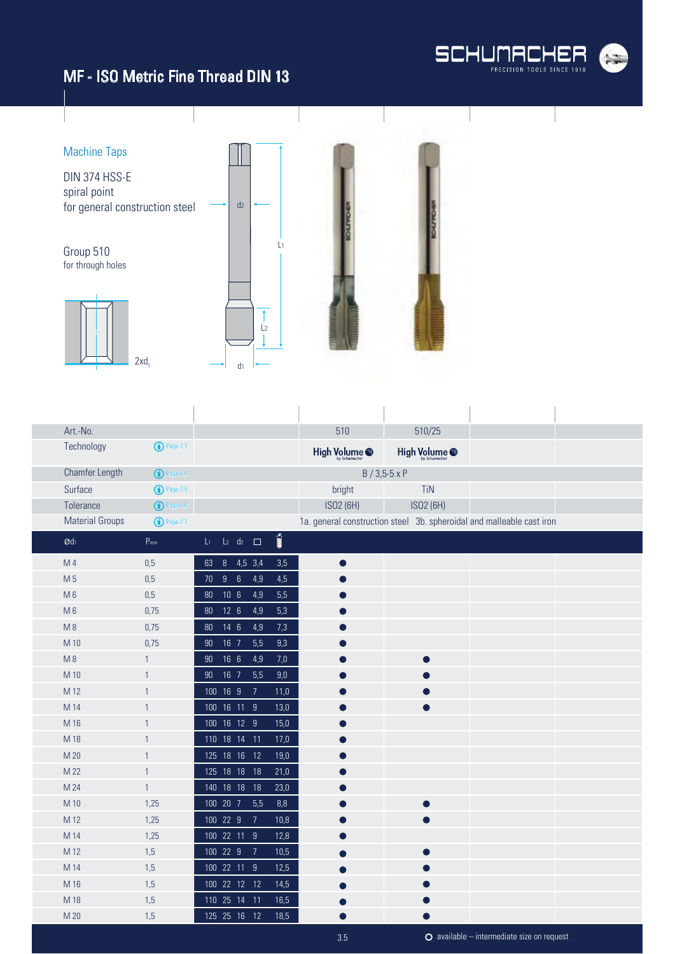



| Art.-No.               |                       |                                                    | 510                      | 510/25                 |                                                                       |  |
|------------------------|-----------------------|----------------------------------------------------|--------------------------|------------------------|-----------------------------------------------------------------------|--|
| Technology             | $\bigodot$ Page 7.1   |                                                    | High Volume <sup>®</sup> | High Volume @          |                                                                       |  |
| Chamfer Length         | <sup>1</sup> Page 7.4 |                                                    |                          | $B / 3,5 - 5 \times P$ |                                                                       |  |
| Surface                | $\bigodot$ Page 7.5   |                                                    | bright                   | <b>TiN</b>             |                                                                       |  |
| Tolerance              | $\bigodot$ Page 7.6   |                                                    | ISO2 (6H)                | ISO2 (6H)              |                                                                       |  |
| <b>Material Groups</b> | <b>1</b> Page 7.7     |                                                    |                          |                        | 1a. general construction steel 3b. spheroidal and malleable cast iron |  |
| $\emptyset$ dı         | $P_{mm}$              | İ<br>$L_2$ d <sub>2</sub> $\Box$<br>$\mathsf{L}_1$ |                          |                        |                                                                       |  |
| M 4                    | 0,5                   | 8 4,5 3,4<br>3,5<br>63                             | $\bullet$                |                        |                                                                       |  |
| M <sub>5</sub>         | 0,5                   | $6\phantom{1}6$<br>9<br>4,9<br>4,5<br>70           |                          |                        |                                                                       |  |
| $M_6$                  | 0,5                   | 10 <sub>6</sub><br>4,9<br>5,5<br>80                |                          |                        |                                                                       |  |
| $M_6$                  | 0,75                  | 12 <sub>6</sub><br>5,3<br>4,9<br>80                |                          |                        |                                                                       |  |
| M8                     | 0,75                  | $14 \quad 6$<br>4,9<br>7,3<br>80                   |                          |                        |                                                                       |  |
| M 10                   | 0,75                  | 16 7<br>5,5<br>9,3<br>90                           |                          |                        |                                                                       |  |
| M8                     | $\mathbf{1}$          | 16 <sub>6</sub><br>4,9<br>7,0<br>90 <sub>o</sub>   |                          |                        |                                                                       |  |
| M 10                   | $\mathbf{1}$          | 16 7<br>5,5<br>9,0<br>90 <sub>o</sub>              |                          |                        |                                                                       |  |
| M 12                   | $\mathbf{1}$          | 100 16 9<br>$\overline{7}$<br>11,0                 |                          |                        |                                                                       |  |
| M 14                   | $\mathbf{1}$          | 100 16 11 9<br>13,0                                |                          |                        |                                                                       |  |
| M 16                   | $\mathbf{1}$          | 100 16 12 9<br>15,0                                |                          |                        |                                                                       |  |
| M 18                   | $\mathbf{1}$          | 110 18 14<br>$-11$<br>17,0                         |                          |                        |                                                                       |  |
| M 20                   | $\mathbf{1}$          | 125 18 16 12<br>19,0                               |                          |                        |                                                                       |  |
| M 22                   | $\mathbf{1}$          | 125 18 18 18<br>21,0                               |                          |                        |                                                                       |  |
| M 24                   | $\mathbf{1}$          | 140 18 18<br>18<br>23,0                            |                          |                        |                                                                       |  |
| M 10                   | 1,25                  | 100 20 7<br>5,5<br>8,8                             |                          | O                      |                                                                       |  |
| M 12                   | 1,25                  | 100 22 9<br>$\overline{7}$<br>10,8                 |                          |                        |                                                                       |  |
| M 14                   | 1,25                  | 100 22 11 9<br>12,8                                |                          |                        |                                                                       |  |
| M 12                   | 1,5                   | 100 22 9<br>$\overline{7}$<br>10,5                 |                          |                        |                                                                       |  |
| M 14                   | 1,5                   | 100 22 11 9<br>12,5                                |                          |                        |                                                                       |  |
| M 16                   | 1,5                   | 100 22 12 12<br>14,5                               |                          |                        |                                                                       |  |
| M 18                   | 1,5                   | 110 25 14 11<br>16,5                               |                          |                        |                                                                       |  |
| M 20                   | 1,5                   | 125  25  16  12<br>18,5                            |                          |                        |                                                                       |  |
|                        |                       |                                                    | 3.5                      |                        | $\bullet$ available – intermediate size on request                    |  |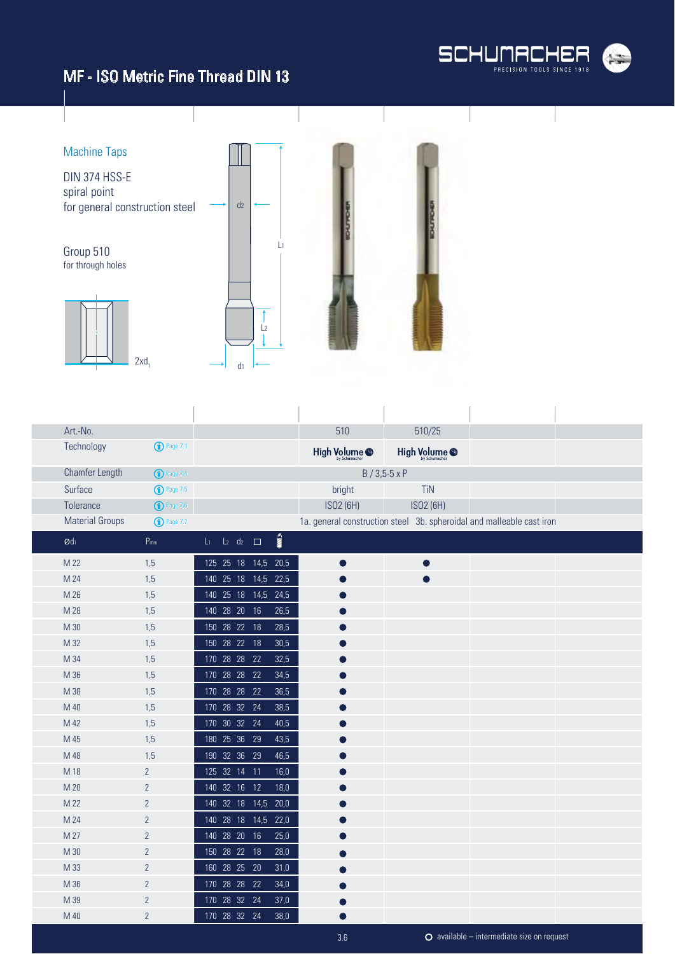

available – intermediate size on request

# MF - ISO Metric Fine Thread DIN 13



| Art.-No.                   |                         |                          |                       | 510           | 510/25                 |                                                                       |  |
|----------------------------|-------------------------|--------------------------|-----------------------|---------------|------------------------|-----------------------------------------------------------------------|--|
| Technology                 | $\binom{1}{1}$ Page 7.1 |                          |                       | High Volume @ | High Volume @          |                                                                       |  |
| Chamfer Length             | $\bigcirc$ Page 7.4     |                          |                       |               | $B / 3,5 - 5 \times P$ |                                                                       |  |
| Surface                    | $\binom{1}{1}$ Page 7.5 |                          |                       | bright        | <b>TiN</b>             |                                                                       |  |
| Tolerance                  | $\bigodot$ Page 7.6     |                          |                       | ISO2 (6H)     | ISO2 (6H)              |                                                                       |  |
| <b>Material Groups</b>     | $\bigodot$ Page 7.7     |                          |                       |               |                        | 1a. general construction steel 3b. spheroidal and malleable cast iron |  |
| $\emptyset$ d <sub>1</sub> | $P_{mm}$                | $L_1$ $L_2$ $d_2$ $\Box$ | $\sum_{i=1}^{\infty}$ |               |                        |                                                                       |  |
| M 22                       | 1,5                     | 125 25 18 14,5           | 20,5                  | $\bullet$     | $\bullet$              |                                                                       |  |
| M 24                       | 1,5                     | 140 25 18 14,5           | 22,5                  |               |                        |                                                                       |  |
| M 26                       | 1,5                     | 140 25 18 14,5 24,5      |                       |               |                        |                                                                       |  |
| M 28                       | 1,5                     | 140 28 20 16             | 26,5                  |               |                        |                                                                       |  |
| M 30                       | 1,5                     | 150 28 22 18             | 28,5                  |               |                        |                                                                       |  |
| M 32                       | 1,5                     | 150 28 22 18             | 30,5                  |               |                        |                                                                       |  |
| M 34                       | 1,5                     | 170 28 28 22             | 32,5                  |               |                        |                                                                       |  |
| M 36                       | 1,5                     | 170 28 28 22             | 34,5                  |               |                        |                                                                       |  |
| M 38                       | 1,5                     | 170 28 28 22             | 36,5                  |               |                        |                                                                       |  |
| M 40                       | 1,5                     | 170 28 32 24             | 38,5                  |               |                        |                                                                       |  |
| M 42                       | 1,5                     | 170 30 32 24             | 40,5                  |               |                        |                                                                       |  |
| M 45                       | 1,5                     | 180 25 36 29             | 43,5                  |               |                        |                                                                       |  |
| M 48                       | 1,5                     | 190 32 36 29             | 46,5                  |               |                        |                                                                       |  |
| M 18                       | $\overline{2}$          | 125 32 14 11             | 16,0                  |               |                        |                                                                       |  |
| M 20                       | $\overline{2}$          | 140 32 16 12             | 18,0                  |               |                        |                                                                       |  |
| M 22                       | $\overline{2}$          | 140 32 18 14,5           | 20,0                  |               |                        |                                                                       |  |
| M 24                       | $\overline{2}$          | 140 28 18 14,5           | 22,0                  |               |                        |                                                                       |  |
| M 27                       | $\overline{2}$          | 140 28 20<br>16          | 25,0                  |               |                        |                                                                       |  |
| M 30                       | $\overline{2}$          | 150 28 22 18             | 28,0                  |               |                        |                                                                       |  |
| M 33                       | $\overline{2}$          | 160 28 25 20             | 31,0                  |               |                        |                                                                       |  |
| M 36                       | $\overline{2}$          | 170 28 28 22             | 34,0                  |               |                        |                                                                       |  |
| M 39                       | $\overline{2}$          | 170 28 32 24             | 37,0                  |               |                        |                                                                       |  |
| M 40                       | $\overline{2}$          | 170 28 32 24             | 38,0                  |               |                        |                                                                       |  |

3.6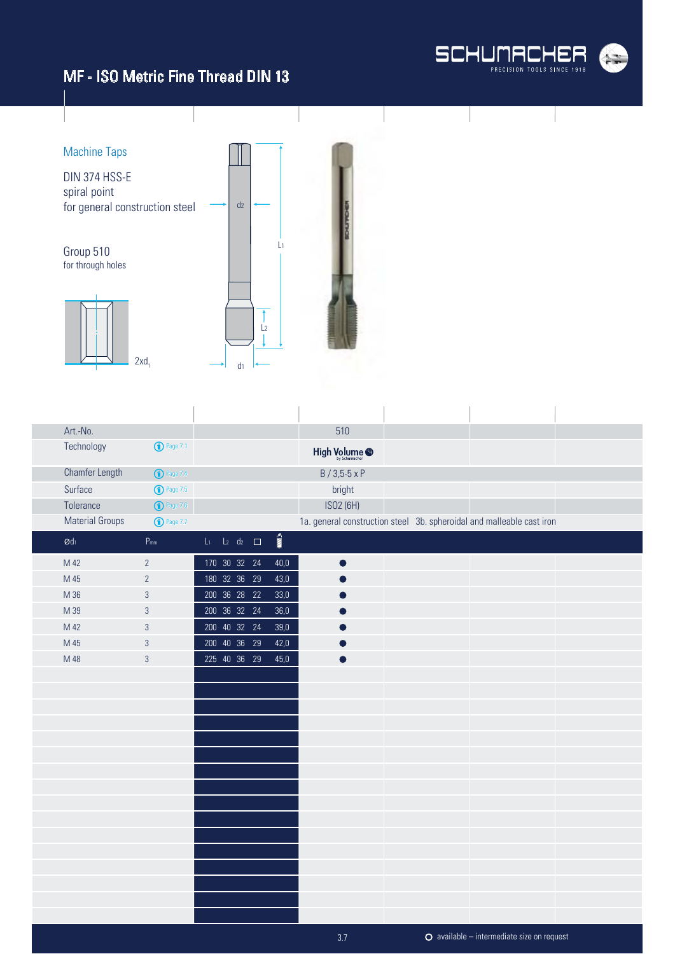



| Art.-No.                      |                     |                                                   | 510                                                                   |  |
|-------------------------------|---------------------|---------------------------------------------------|-----------------------------------------------------------------------|--|
| Technology                    | $\bigodot$ Page 7.1 |                                                   | High Volume <sup>@</sup>                                              |  |
| Chamfer Length                | <b>1</b> Page 7.4   |                                                   | B / 3,5-5 x P                                                         |  |
| Surface                       | $\bigodot$ Page 7.5 |                                                   | bright                                                                |  |
| Tolerance                     | $\bigodot$ Page 7.6 |                                                   | ISO2 (6H)                                                             |  |
| <b>Material Groups</b>        | $\bigodot$ Page 7.7 |                                                   | 1a. general construction steel 3b. spheroidal and malleable cast iron |  |
| $\boldsymbol{\mathcal{O}}$ dı | $P_{mm}$            | $\sum_{i=1}^{\infty}$<br>$L_1$ $L_2$ $d_2$ $\Box$ |                                                                       |  |
| M 42                          | $\overline{2}$      | 170 30 32 24<br>40,0                              | $\bullet$                                                             |  |
| M 45                          | $\overline{2}$      | 180 32 36 29<br>43,0                              |                                                                       |  |
| M 36                          | $\sqrt{3}$          | 200 36 28 22<br>33,0                              |                                                                       |  |
| M 39                          | $\mathfrak{Z}$      | 200 36 32 24<br>36,0                              |                                                                       |  |
| M 42                          | $\sqrt{3}$          | 200 40 32 24<br>$39,0$                            |                                                                       |  |
| M 45                          | $\sqrt{3}$          | 200 40 36 29<br>42,0                              |                                                                       |  |
| M 48                          | $\sqrt{3}$          | 225 40 36 29<br>45,0                              |                                                                       |  |
|                               |                     |                                                   |                                                                       |  |
|                               |                     |                                                   |                                                                       |  |
|                               |                     |                                                   |                                                                       |  |
|                               |                     |                                                   |                                                                       |  |
|                               |                     |                                                   |                                                                       |  |
|                               |                     |                                                   |                                                                       |  |
|                               |                     |                                                   |                                                                       |  |
|                               |                     |                                                   |                                                                       |  |
|                               |                     |                                                   |                                                                       |  |
|                               |                     |                                                   |                                                                       |  |
|                               |                     |                                                   |                                                                       |  |
|                               |                     |                                                   |                                                                       |  |
|                               |                     |                                                   |                                                                       |  |
|                               |                     |                                                   |                                                                       |  |
|                               |                     |                                                   |                                                                       |  |
|                               |                     |                                                   |                                                                       |  |
|                               |                     |                                                   | $O$ available – intermediate size on request<br>3.7                   |  |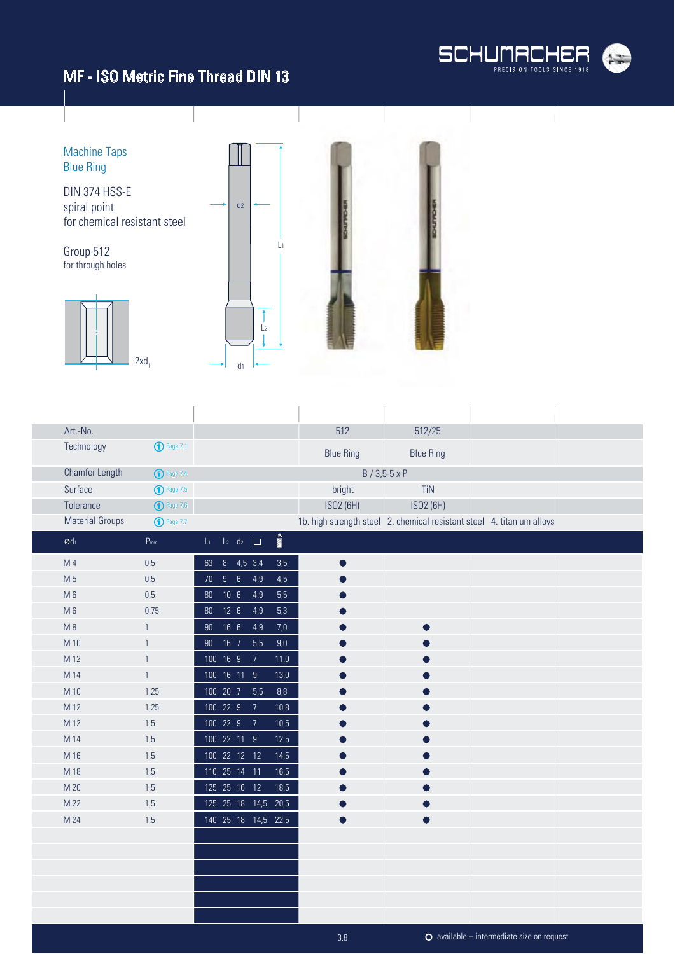



| Art.-No.                      |                       |                 |                 |                             |                                 | 512                                                                    | 512/25                 |                                                    |  |
|-------------------------------|-----------------------|-----------------|-----------------|-----------------------------|---------------------------------|------------------------------------------------------------------------|------------------------|----------------------------------------------------|--|
| Technology                    | $\bigodot$ Page 7.1   |                 |                 |                             |                                 | <b>Blue Ring</b>                                                       | <b>Blue Ring</b>       |                                                    |  |
| Chamfer Length                | <sup>1</sup> Page 7.4 |                 |                 |                             |                                 |                                                                        | $B / 3,5 - 5 \times P$ |                                                    |  |
| Surface                       | <b>D</b> Page 7.5     |                 |                 |                             |                                 | bright                                                                 | <b>TiN</b>             |                                                    |  |
| Tolerance                     | $\bigodot$ Page 7.6   |                 |                 |                             |                                 | ISO2 (6H)                                                              | ISO2 (6H)              |                                                    |  |
| <b>Material Groups</b>        | $\bigcirc$ Page 7.7   |                 |                 |                             |                                 | 1b. high strength steel 2. chemical resistant steel 4. titanium alloys |                        |                                                    |  |
| $\boldsymbol{\mathcal{O}}$ dı | $P_{mm}$              | $\mathsf{L}_1$  |                 | $L_2$ d <sub>2</sub> $\Box$ | $\overline{\mathbb{H}}^{\circ}$ |                                                                        |                        |                                                    |  |
| M 4                           | 0,5                   | 63              |                 | 8 4,5 3,4                   | $3,5$                           |                                                                        |                        |                                                    |  |
| M 5                           | 0,5                   | 70 <sub>2</sub> | 96              | 4,9                         | 4,5                             |                                                                        |                        |                                                    |  |
| $M_6$                         | 0,5                   |                 | 80 10 6         | 4,9                         | 5,5                             |                                                                        |                        |                                                    |  |
| $M_6$                         | 0,75                  | 80              | $12 \quad 6$    | 4,9                         | 5,3                             |                                                                        |                        |                                                    |  |
| M8                            | $\mathbf{1}$          | $90\,$          | 16 <sub>6</sub> | 4,9                         | $7,0$                           |                                                                        |                        |                                                    |  |
| M 10                          | 1                     | 90 <sub>o</sub> | $16\quad7$      | 5,5                         | $9,\!0$                         |                                                                        |                        |                                                    |  |
| M 12                          | $\mathbf{1}$          |                 | 100 16 9        | $\overline{7}$              | 11,0                            |                                                                        |                        |                                                    |  |
| M 14                          | $\mathbf{1}$          |                 |                 | 100 16 11 9                 | 13,0                            |                                                                        |                        |                                                    |  |
| M 10                          | 1,25                  |                 | 100 20 7        | 5,5                         | $8,8$                           |                                                                        |                        |                                                    |  |
| M 12                          | 1,25                  |                 | 100 22 9        | $\overline{7}$              | 10,8                            |                                                                        |                        |                                                    |  |
| M 12                          | 1,5                   |                 | 100 22 9        | $\overline{7}$              | 10,5                            |                                                                        |                        |                                                    |  |
| M 14                          | 1,5                   |                 |                 | 100 22 11 9                 | 12,5                            |                                                                        |                        |                                                    |  |
| M 16                          | 1,5                   |                 |                 | 100 22 12 12                | 14,5                            |                                                                        |                        |                                                    |  |
| M 18                          | 1,5                   |                 |                 | 110 25 14 11                | 16,5                            |                                                                        |                        |                                                    |  |
| M 20                          | 1,5                   |                 |                 | 125  25  16  12             | 18,5                            |                                                                        |                        |                                                    |  |
| M 22                          | 1,5                   |                 |                 |                             | 125 25 18 14,5 20,5             |                                                                        |                        |                                                    |  |
| M 24                          | 1,5                   |                 |                 |                             | 140 25 18 14,5 22,5             |                                                                        |                        |                                                    |  |
|                               |                       |                 |                 |                             |                                 |                                                                        |                        |                                                    |  |
|                               |                       |                 |                 |                             |                                 |                                                                        |                        |                                                    |  |
|                               |                       |                 |                 |                             |                                 |                                                                        |                        |                                                    |  |
|                               |                       |                 |                 |                             |                                 |                                                                        |                        |                                                    |  |
|                               |                       |                 |                 |                             |                                 |                                                                        |                        |                                                    |  |
|                               |                       |                 |                 |                             |                                 |                                                                        |                        |                                                    |  |
|                               |                       |                 |                 |                             |                                 | 3.8                                                                    |                        | $\bullet$ available – intermediate size on request |  |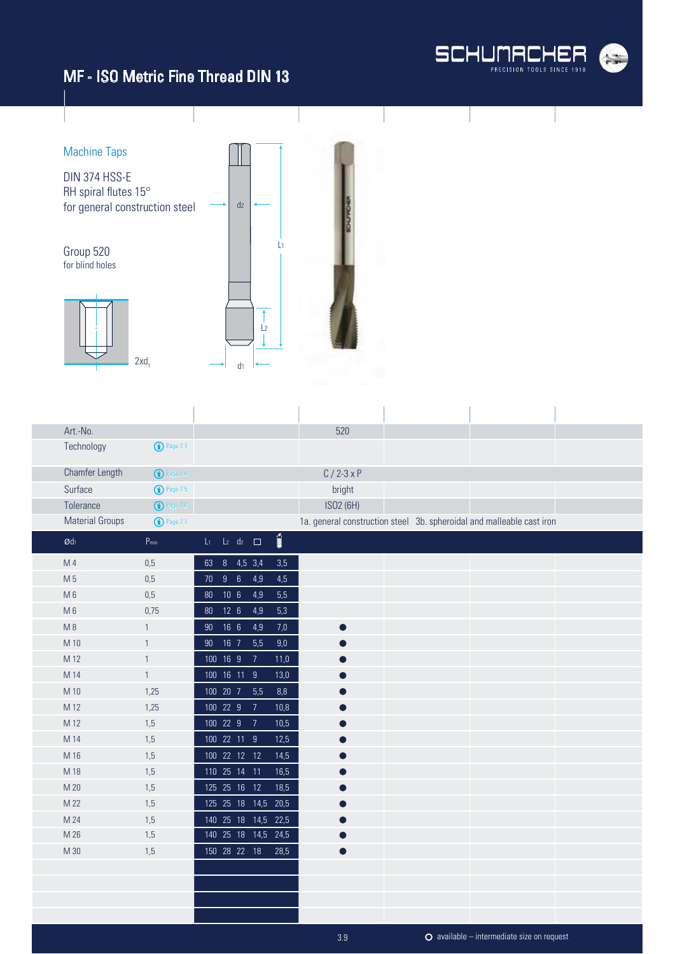



| Art.-No.                   |                       |                 |                             |                |               | 520       |  |                                                                       |  |
|----------------------------|-----------------------|-----------------|-----------------------------|----------------|---------------|-----------|--|-----------------------------------------------------------------------|--|
| Technology                 | $\bigodot$ Page 7.1   |                 |                             |                |               |           |  |                                                                       |  |
| Chamfer Length             | <sup>1</sup> Page 7.4 |                 |                             |                |               | $C/2-3xP$ |  |                                                                       |  |
| Surface                    | $\bigodot$ Page 7.5   |                 |                             |                |               | bright    |  |                                                                       |  |
| Tolerance                  | $\bigodot$ Page 7.6   |                 |                             |                |               | ISO2 (6H) |  |                                                                       |  |
| <b>Material Groups</b>     | <b>D</b> Page 7.7     |                 |                             |                |               |           |  | 1a. general construction steel 3b. spheroidal and malleable cast iron |  |
| $\emptyset$ d <sub>1</sub> | $P_{mm}$              | L <sub>1</sub>  | $L_2$ d <sub>2</sub> $\Box$ |                | $\frac{1}{2}$ |           |  |                                                                       |  |
| M 4                        | 0,5                   |                 | 63 8 4,5 3,4                |                | 3,5           |           |  |                                                                       |  |
| M 5                        | 0,5                   | 70              | 96                          | 4,9            | 4,5           |           |  |                                                                       |  |
| $M_6$                      | 0,5                   | $80\,$          | 10 <sub>6</sub>             | 4,9            | 5,5           |           |  |                                                                       |  |
| $M_6$                      | 0,75                  | 80 <sup>°</sup> | 12 <sub>6</sub>             | 4,9            | 5,3           |           |  |                                                                       |  |
| M8                         | $\mathbf{1}$          | 90              | 166                         | 4,9            | 7,0           |           |  |                                                                       |  |
| M 10                       | 1                     | 90 <sub>o</sub> | 16 7                        | 5,5            | 9,0           |           |  |                                                                       |  |
| M 12                       | $\mathbf{1}$          |                 | 100 16 9                    | $\overline{7}$ | 11,0          |           |  |                                                                       |  |
| M 14                       | $\mathbf{1}$          |                 | 100 16 11 9                 |                | 13,0          |           |  |                                                                       |  |
| M 10                       | 1,25                  |                 | 100 20 7                    | 5,5            | 8,8           |           |  |                                                                       |  |
| M 12                       | 1,25                  |                 | 100 22 9                    | $\overline{7}$ | 10,8          |           |  |                                                                       |  |
| M 12                       | 1,5                   |                 | 100 22 9                    | $\overline{7}$ | 10,5          |           |  |                                                                       |  |
| M 14                       | 1,5                   |                 | 100 22 11 9                 |                | 12,5          |           |  |                                                                       |  |
| M 16                       | 1,5                   |                 | 100 22 12 12                |                | 14,5          |           |  |                                                                       |  |
| M 18                       | 1,5                   |                 | 110 25 14 11                |                | 16,5          |           |  |                                                                       |  |
| M 20                       | 1,5                   |                 | 125  25  16  12             |                | 18,5          |           |  |                                                                       |  |
| M 22                       | 1,5                   |                 | 125 25 18 14,5 20,5         |                |               |           |  |                                                                       |  |
| M 24                       | 1,5                   |                 | 140 25 18 14,5 22,5         |                |               |           |  |                                                                       |  |
| M 26                       | 1,5                   |                 | 140 25 18 14,5 24,5         |                |               | $\bullet$ |  |                                                                       |  |
| M 30                       | 1,5                   |                 | 150 28 22 18                |                | 28,5          |           |  |                                                                       |  |
|                            |                       |                 |                             |                |               |           |  |                                                                       |  |
|                            |                       |                 |                             |                |               |           |  |                                                                       |  |
|                            |                       |                 |                             |                |               |           |  |                                                                       |  |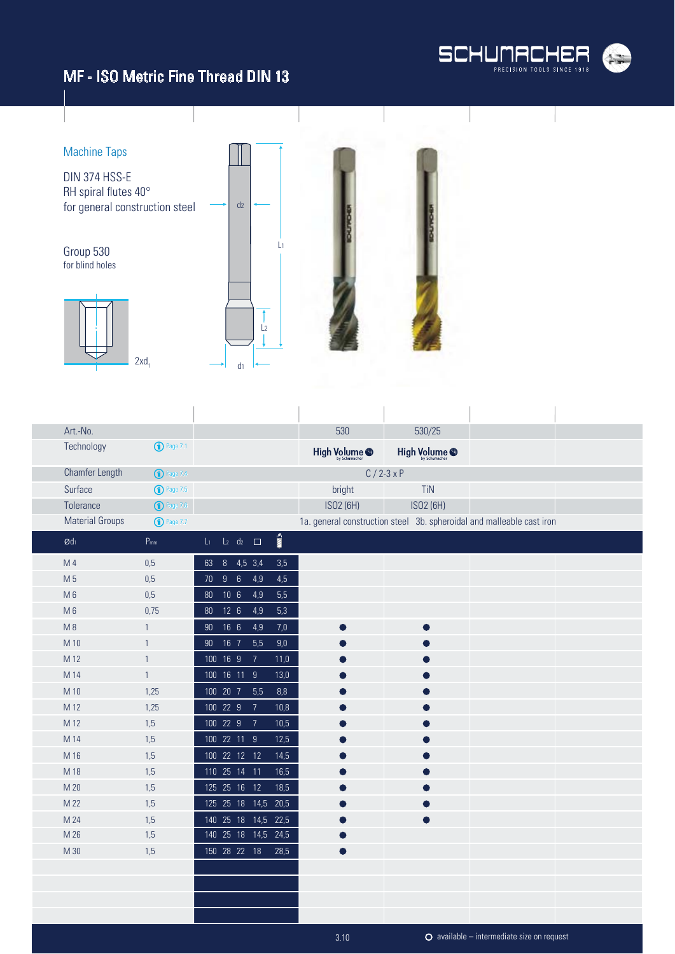



| Art.-No.               |                     |                                                   | 530                      | 530/25                                                                |  |
|------------------------|---------------------|---------------------------------------------------|--------------------------|-----------------------------------------------------------------------|--|
| Technology             | $\bigodot$ Page 7.1 |                                                   | High Volume <sup>®</sup> | High Volume @                                                         |  |
| Chamfer Length         | $\bigcirc$ Page 7.4 |                                                   |                          | $C/2-3xP$                                                             |  |
| Surface                | $\bigodot$ Page 7.5 |                                                   | bright                   | <b>TiN</b>                                                            |  |
| Tolerance              | $\bigodot$ Page 7.6 |                                                   | ISO2 (6H)                | ISO2 (6H)                                                             |  |
| <b>Material Groups</b> | <b>1</b> Page 7.7   |                                                   |                          | 1a. general construction steel 3b. spheroidal and malleable cast iron |  |
| $\emptyset$ dı         | $P_{mm}$            | $\sum_{i=1}^{\infty}$<br>$L_1$ $L_2$ $d_2$ $\Box$ |                          |                                                                       |  |
| M 4                    | 0,5                 | 8 4,5 3,4<br>3,5<br>63                            |                          |                                                                       |  |
| M 5                    | 0,5                 | 70 9 6<br>4,5<br>4,9                              |                          |                                                                       |  |
| M <sub>6</sub>         | 0,5                 | 10 <sub>6</sub><br>5,5<br>$80\,$<br>4,9           |                          |                                                                       |  |
| $M_6$                  | 0,75                | 12 <sub>6</sub><br>4,9<br>5,3<br>80               |                          |                                                                       |  |
| M8                     | $\mathbf{1}$        | 90 16 6<br>4,9<br>7,0                             |                          |                                                                       |  |
| M 10                   | $\mathbf{1}$        | 90 16 7<br>5,5<br>9,0                             |                          |                                                                       |  |
| M 12                   | $\mathbf{1}$        | 100 16 9<br>$\overline{7}$<br>11,0                |                          |                                                                       |  |
| M 14                   | $\mathbf{1}$        | 100 16 11 9<br>13,0                               |                          |                                                                       |  |
| M 10                   | 1,25                | 100 20 7<br>5,5<br>8,8                            |                          |                                                                       |  |
| M 12                   | 1,25                | 100 22 9<br>10,8<br>$\overline{7}$                |                          |                                                                       |  |
| M 12                   | 1,5                 | 100 22 9<br>$\overline{7}$<br>10,5                |                          |                                                                       |  |
| M 14                   | 1,5                 | 100 22 11 9<br>12,5                               |                          |                                                                       |  |
| M 16                   | 1,5                 | 100 22 12 12<br>14,5                              |                          |                                                                       |  |
| M 18                   | 1,5                 | 110 25 14 11<br>16,5                              |                          |                                                                       |  |
| M 20                   | 1,5                 | 125  25  16  12<br>18,5                           |                          |                                                                       |  |
| M 22                   | 1,5                 | 125 25 18 14,5<br>20,5                            |                          |                                                                       |  |
| M 24                   | 1,5                 | 140 25 18 14,5<br>22,5                            |                          |                                                                       |  |
| M 26                   | 1,5                 | 140 25 18 14,5 24,5                               |                          |                                                                       |  |
| M 30                   | 1,5                 | 150 28 22 18<br>28,5                              |                          |                                                                       |  |
|                        |                     |                                                   |                          |                                                                       |  |
|                        |                     |                                                   |                          |                                                                       |  |
|                        |                     |                                                   |                          |                                                                       |  |
|                        |                     |                                                   |                          |                                                                       |  |